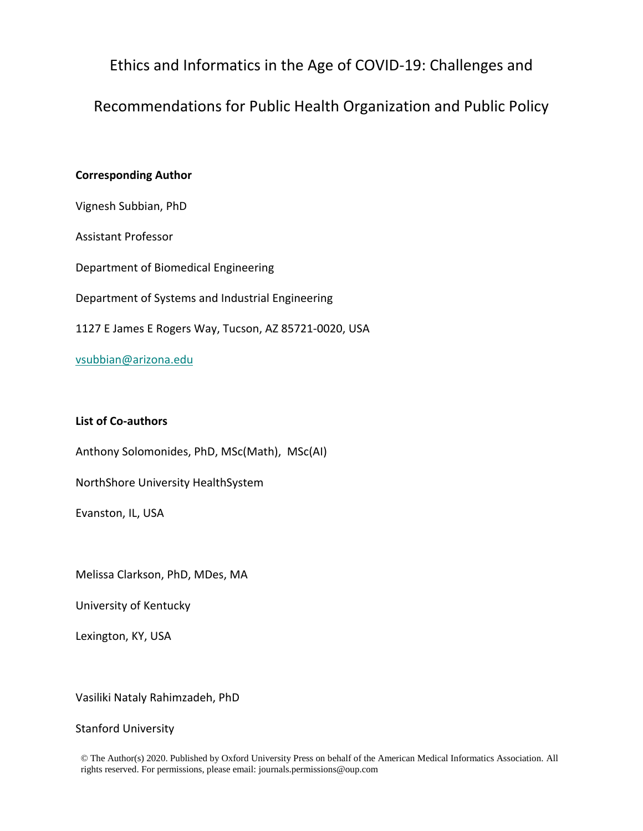Ethics and Informatics in the Age of COVID-19: Challenges and

Recommendations for Public Health Organization and Public Policy

# **Corresponding Author**

Vignesh Subbian, PhD

Assistant Professor

Department of Biomedical Engineering

Department of Systems and Industrial Engineering

1127 E James E Rogers Way, Tucson, AZ 85721-0020, USA

vsubbian@arizona.edu

# **List of Co-authors**

Anthony Solomonides, PhD, MSc(Math), MSc(AI)

NorthShore University HealthSystem

Evanston, IL, USA

Melissa Clarkson, PhD, MDes, MA

University of Kentucky

Lexington, KY, USA

Vasiliki Nataly Rahimzadeh, PhD

# Stanford University

© The Author(s) 2020. Published by Oxford University Press on behalf of the American Medical Informatics Association. All rights reserved. For permissions, please email: journals.permissions@oup.com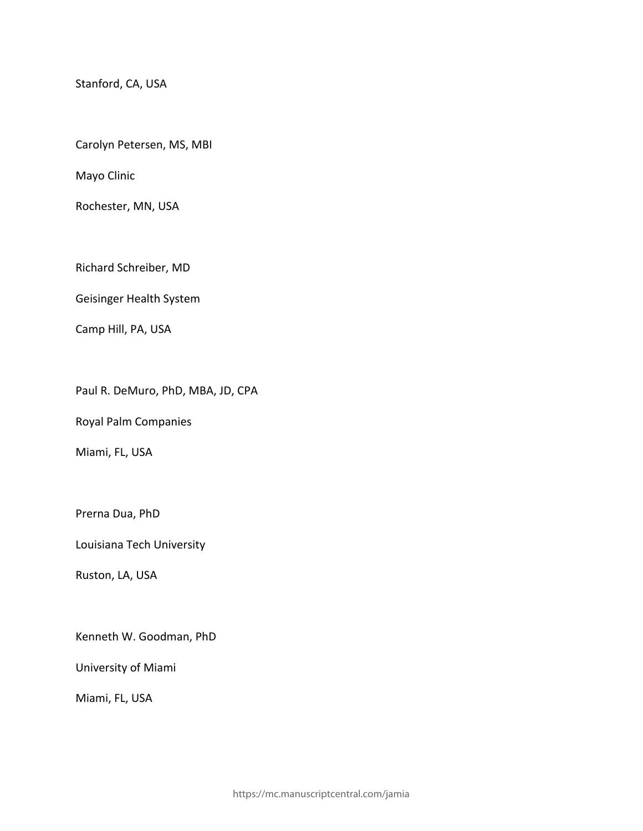Stanford, CA, USA

Carolyn Petersen, MS, MBI

Mayo Clinic

Rochester, MN, USA

Richard Schreiber, MD

Geisinger Health System

Camp Hill, PA, USA

Paul R. DeMuro, PhD, MBA, JD, CPA

Royal Palm Companies

Miami, FL, USA

Prerna Dua, PhD

Louisiana Tech University

Ruston, LA, USA

Kenneth W. Goodman, PhD

University of Miami

Miami, FL, USA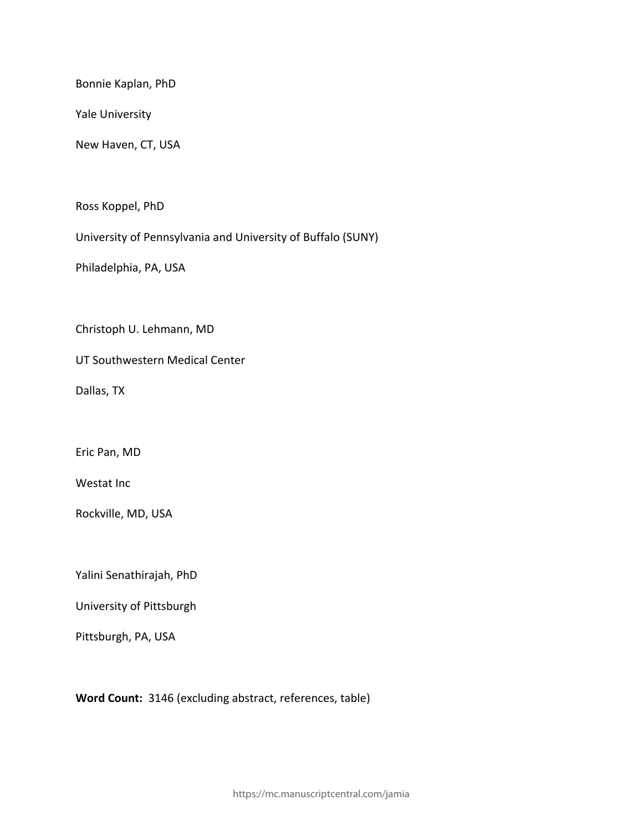Bonnie Kaplan, PhD

Yale University

New Haven, CT, USA

Ross Koppel, PhD

University of Pennsylvania and University of Buffalo (SUNY)

Philadelphia, PA, USA

Christoph U. Lehmann, MD

UT Southwestern Medical Center

Dallas, TX

Eric Pan, MD

Westat Inc

Rockville, MD, USA

Yalini Senathirajah, PhD

University of Pittsburgh

Pittsburgh, PA, USA

**Word Count:** 3146 (excluding abstract, references, table)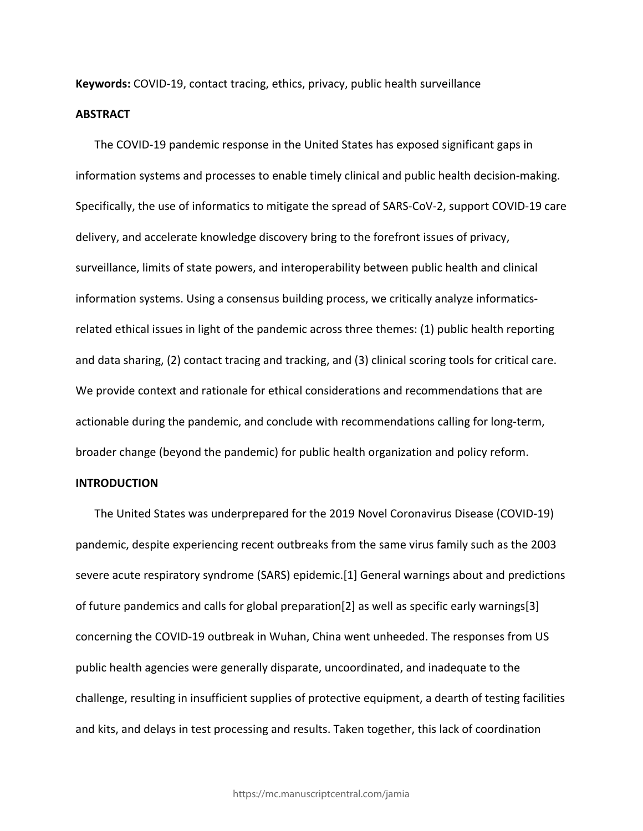**Keywords:** COVID-19, contact tracing, ethics, privacy, public health surveillance

#### **ABSTRACT**

The COVID-19 pandemic response in the United States has exposed significant gaps in information systems and processes to enable timely clinical and public health decision-making. Specifically, the use of informatics to mitigate the spread of SARS-CoV-2, support COVID-19 care delivery, and accelerate knowledge discovery bring to the forefront issues of privacy, surveillance, limits of state powers, and interoperability between public health and clinical information systems. Using a consensus building process, we critically analyze informaticsrelated ethical issues in light of the pandemic across three themes: (1) public health reporting and data sharing, (2) contact tracing and tracking, and (3) clinical scoring tools for critical care. We provide context and rationale for ethical considerations and recommendations that are actionable during the pandemic, and conclude with recommendations calling for long-term, broader change (beyond the pandemic) for public health organization and policy reform.

### **INTRODUCTION**

The United States was underprepared for the 2019 Novel Coronavirus Disease (COVID-19) pandemic, despite experiencing recent outbreaks from the same virus family such as the 2003 severe acute respiratory syndrome (SARS) epidemic.[1] General warnings about and predictions of future pandemics and calls for global preparation[2] as well as specific early warnings[3] concerning the COVID-19 outbreak in Wuhan, China went unheeded. The responses from US public health agencies were generally disparate, uncoordinated, and inadequate to the challenge, resulting in insufficient supplies of protective equipment, a dearth of testing facilities and kits, and delays in test processing and results. Taken together, this lack of coordination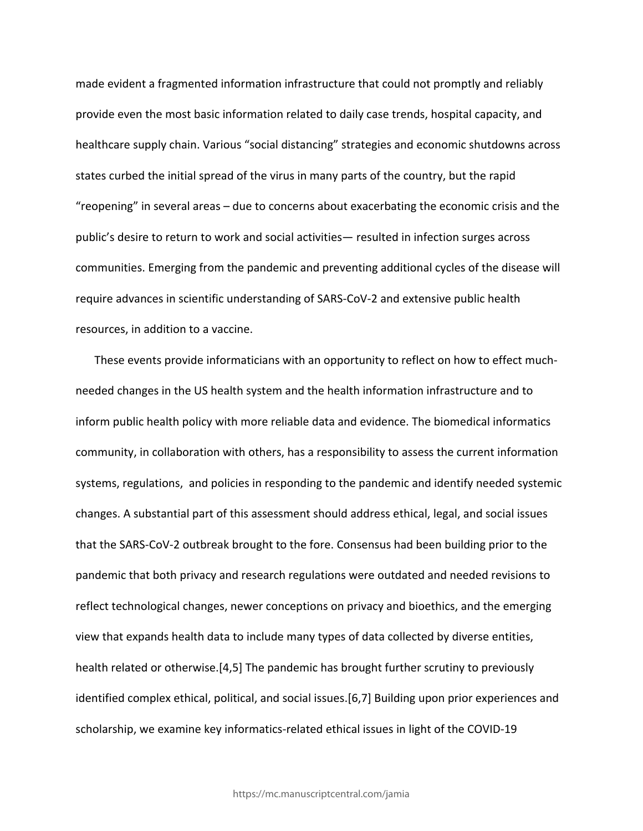made evident a fragmented information infrastructure that could not promptly and reliably provide even the most basic information related to daily case trends, hospital capacity, and healthcare supply chain. Various "social distancing" strategies and economic shutdowns across states curbed the initial spread of the virus in many parts of the country, but the rapid "reopening" in several areas – due to concerns about exacerbating the economic crisis and the public's desire to return to work and social activities— resulted in infection surges across communities. Emerging from the pandemic and preventing additional cycles of the disease will require advances in scientific understanding of SARS-CoV-2 and extensive public health resources, in addition to a vaccine.

These events provide informaticians with an opportunity to reflect on how to effect muchneeded changes in the US health system and the health information infrastructure and to inform public health policy with more reliable data and evidence. The biomedical informatics community, in collaboration with others, has a responsibility to assess the current information systems, regulations, and policies in responding to the pandemic and identify needed systemic changes. A substantial part of this assessment should address ethical, legal, and social issues that the SARS-CoV-2 outbreak brought to the fore. Consensus had been building prior to the pandemic that both privacy and research regulations were outdated and needed revisions to reflect technological changes, newer conceptions on privacy and bioethics, and the emerging view that expands health data to include many types of data collected by diverse entities, health related or otherwise.[4,5] The pandemic has brought further scrutiny to previously identified complex ethical, political, and social issues.[6,7] Building upon prior experiences and scholarship, we examine key informatics-related ethical issues in light of the COVID-19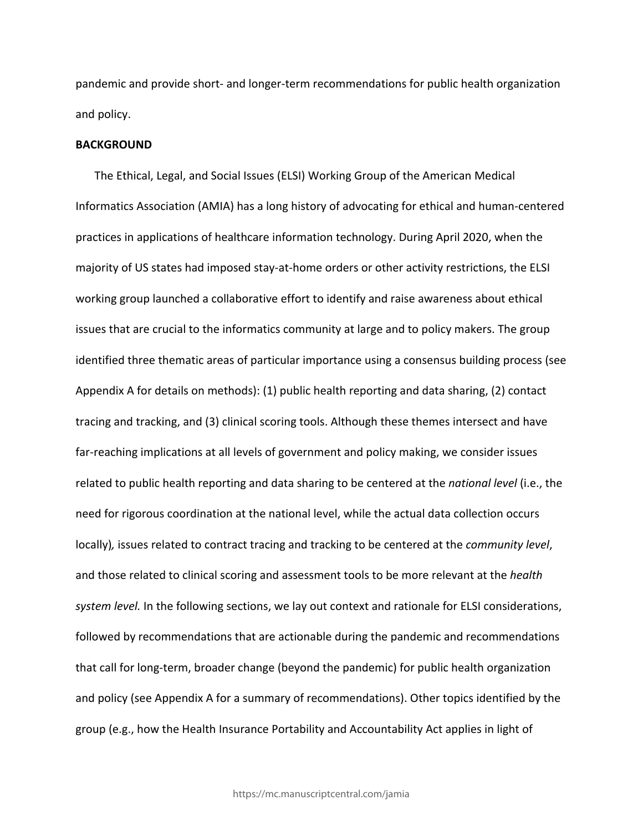pandemic and provide short- and longer-term recommendations for public health organization and policy.

## **BACKGROUND**

The Ethical, Legal, and Social Issues (ELSI) Working Group of the American Medical Informatics Association (AMIA) has a long history of advocating for ethical and human-centered practices in applications of healthcare information technology. During April 2020, when the majority of US states had imposed stay-at-home orders or other activity restrictions, the ELSI working group launched a collaborative effort to identify and raise awareness about ethical issues that are crucial to the informatics community at large and to policy makers. The group identified three thematic areas of particular importance using a consensus building process (see Appendix A for details on methods): (1) public health reporting and data sharing, (2) contact tracing and tracking, and (3) clinical scoring tools. Although these themes intersect and have far-reaching implications at all levels of government and policy making, we consider issues related to public health reporting and data sharing to be centered at the *national level* (i.e., the need for rigorous coordination at the national level, while the actual data collection occurs locally)*,* issues related to contract tracing and tracking to be centered at the *community level*, and those related to clinical scoring and assessment tools to be more relevant at the *health system level.* In the following sections, we lay out context and rationale for ELSI considerations, followed by recommendations that are actionable during the pandemic and recommendations that call for long-term, broader change (beyond the pandemic) for public health organization and policy (see Appendix A for a summary of recommendations). Other topics identified by the group (e.g., how the Health Insurance Portability and Accountability Act applies in light of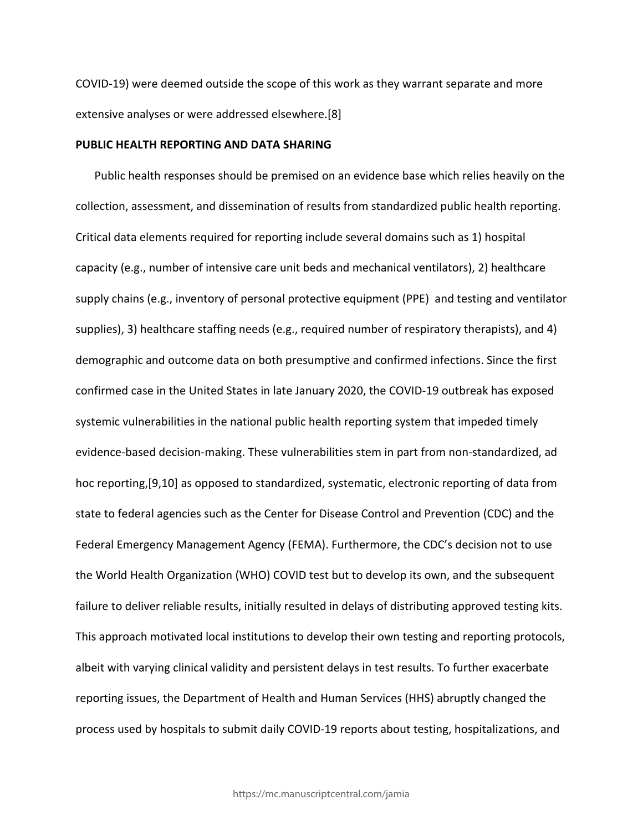COVID-19) were deemed outside the scope of this work as they warrant separate and more extensive analyses or were addressed elsewhere.[8]

### **PUBLIC HEALTH REPORTING AND DATA SHARING**

Public health responses should be premised on an evidence base which relies heavily on the collection, assessment, and dissemination of results from standardized public health reporting. Critical data elements required for reporting include several domains such as 1) hospital capacity (e.g., number of intensive care unit beds and mechanical ventilators), 2) healthcare supply chains (e.g., inventory of personal protective equipment (PPE) and testing and ventilator supplies), 3) healthcare staffing needs (e.g., required number of respiratory therapists), and 4) demographic and outcome data on both presumptive and confirmed infections. Since the first confirmed case in the United States in late January 2020, the COVID-19 outbreak has exposed systemic vulnerabilities in the national public health reporting system that impeded timely evidence-based decision-making. These vulnerabilities stem in part from non-standardized, ad hoc reporting,[9,10] as opposed to standardized, systematic, electronic reporting of data from state to federal agencies such as the Center for Disease Control and Prevention (CDC) and the Federal Emergency Management Agency (FEMA). Furthermore, the CDC's decision not to use the World Health Organization (WHO) COVID test but to develop its own, and the subsequent failure to deliver reliable results, initially resulted in delays of distributing approved testing kits. This approach motivated local institutions to develop their own testing and reporting protocols, albeit with varying clinical validity and persistent delays in test results. To further exacerbate reporting issues, the Department of Health and Human Services (HHS) abruptly changed the process used by hospitals to submit daily COVID-19 reports about testing, hospitalizations, and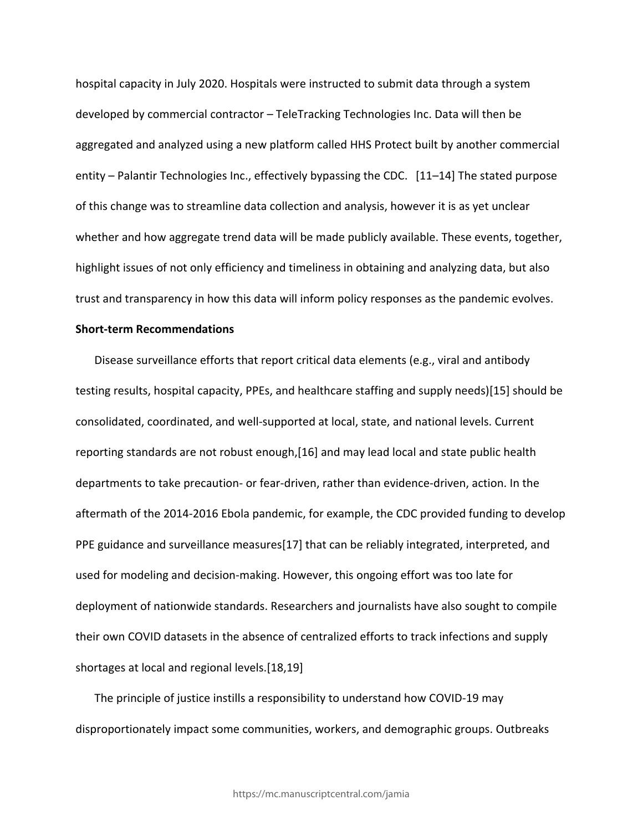hospital capacity in July 2020. Hospitals were instructed to submit data through a system developed by commercial contractor – TeleTracking Technologies Inc. Data will then be aggregated and analyzed using a new platform called HHS Protect built by another commercial entity – Palantir Technologies Inc., effectively bypassing the CDC. [11–14] The stated purpose of this change was to streamline data collection and analysis, however it is as yet unclear whether and how aggregate trend data will be made publicly available. These events, together, highlight issues of not only efficiency and timeliness in obtaining and analyzing data, but also trust and transparency in how this data will inform policy responses as the pandemic evolves.

### **Short-term Recommendations**

Disease surveillance efforts that report critical data elements (e.g., viral and antibody testing results, hospital capacity, PPEs, and healthcare staffing and supply needs)[15] should be consolidated, coordinated, and well-supported at local, state, and national levels. Current reporting standards are not robust enough,[16] and may lead local and state public health departments to take precaution- or fear-driven, rather than evidence-driven, action. In the aftermath of the 2014-2016 Ebola pandemic, for example, the CDC provided funding to develop PPE guidance and surveillance measures[17] that can be reliably integrated, interpreted, and used for modeling and decision-making. However, this ongoing effort was too late for deployment of nationwide standards. Researchers and journalists have also sought to compile their own COVID datasets in the absence of centralized efforts to track infections and supply shortages at local and regional levels.[18,19]

The principle of justice instills a responsibility to understand how COVID-19 may disproportionately impact some communities, workers, and demographic groups. Outbreaks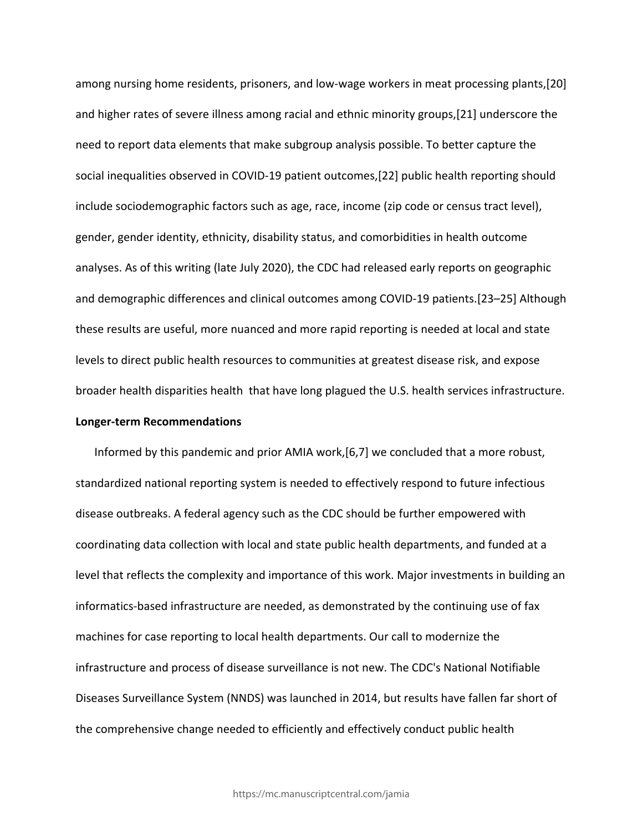among nursing home residents, prisoners, and low-wage workers in meat processing plants,[20] and higher rates of severe illness among racial and ethnic minority groups,[21] underscore the need to report data elements that make subgroup analysis possible. To better capture the social inequalities observed in COVID-19 patient outcomes,[22] public health reporting should include sociodemographic factors such as age, race, income (zip code or census tract level), gender, gender identity, ethnicity, disability status, and comorbidities in health outcome analyses. As of this writing (late July 2020), the CDC had released early reports on geographic and demographic differences and clinical outcomes among COVID-19 patients.[23–25] Although these results are useful, more nuanced and more rapid reporting is needed at local and state levels to direct public health resources to communities at greatest disease risk, and expose broader health disparities health that have long plagued the U.S. health services infrastructure. **Longer-term Recommendations**

Informed by this pandemic and prior AMIA work,[6,7] we concluded that a more robust, standardized national reporting system is needed to effectively respond to future infectious disease outbreaks. A federal agency such as the CDC should be further empowered with coordinating data collection with local and state public health departments, and funded at a level that reflects the complexity and importance of this work. Major investments in building an informatics-based infrastructure are needed, as demonstrated by the continuing use of fax machines for case reporting to local health departments. Our call to modernize the infrastructure and process of disease surveillance is not new. The CDC's National Notifiable Diseases Surveillance System (NNDS) was launched in 2014, but results have fallen far short of the comprehensive change needed to efficiently and effectively conduct public health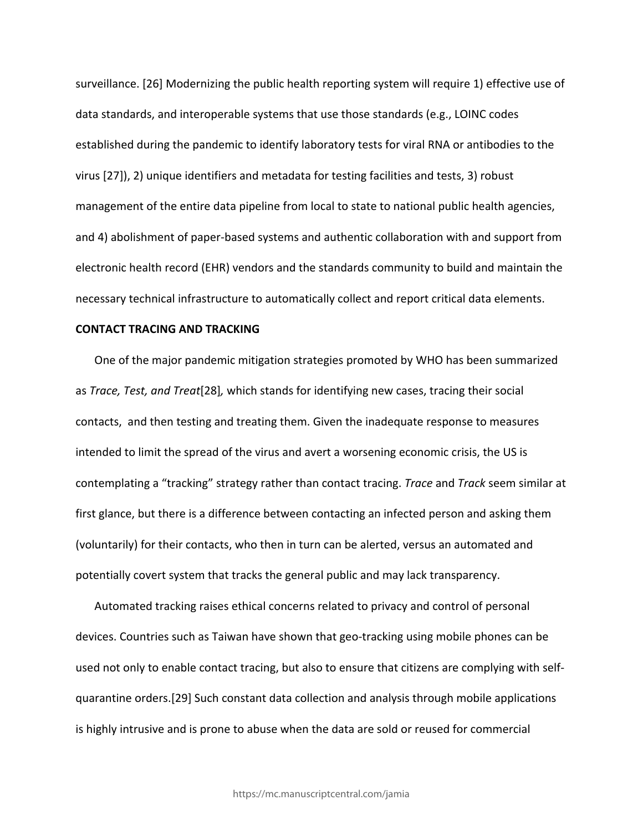surveillance. [26] Modernizing the public health reporting system will require 1) effective use of data standards, and interoperable systems that use those standards (e.g., LOINC codes established during the pandemic to identify laboratory tests for viral RNA or antibodies to the virus [27]), 2) unique identifiers and metadata for testing facilities and tests, 3) robust management of the entire data pipeline from local to state to national public health agencies, and 4) abolishment of paper-based systems and authentic collaboration with and support from electronic health record (EHR) vendors and the standards community to build and maintain the necessary technical infrastructure to automatically collect and report critical data elements.

## **CONTACT TRACING AND TRACKING**

One of the major pandemic mitigation strategies promoted by WHO has been summarized as *Trace, Test, and Treat*[28]*,* which stands for identifying new cases, tracing their social contacts, and then testing and treating them. Given the inadequate response to measures intended to limit the spread of the virus and avert a worsening economic crisis, the US is contemplating a "tracking" strategy rather than contact tracing. *Trace* and *Track* seem similar at first glance, but there is a difference between contacting an infected person and asking them (voluntarily) for their contacts, who then in turn can be alerted, versus an automated and potentially covert system that tracks the general public and may lack transparency.

Automated tracking raises ethical concerns related to privacy and control of personal devices. Countries such as Taiwan have shown that geo-tracking using mobile phones can be used not only to enable contact tracing, but also to ensure that citizens are complying with selfquarantine orders.[29] Such constant data collection and analysis through mobile applications is highly intrusive and is prone to abuse when the data are sold or reused for commercial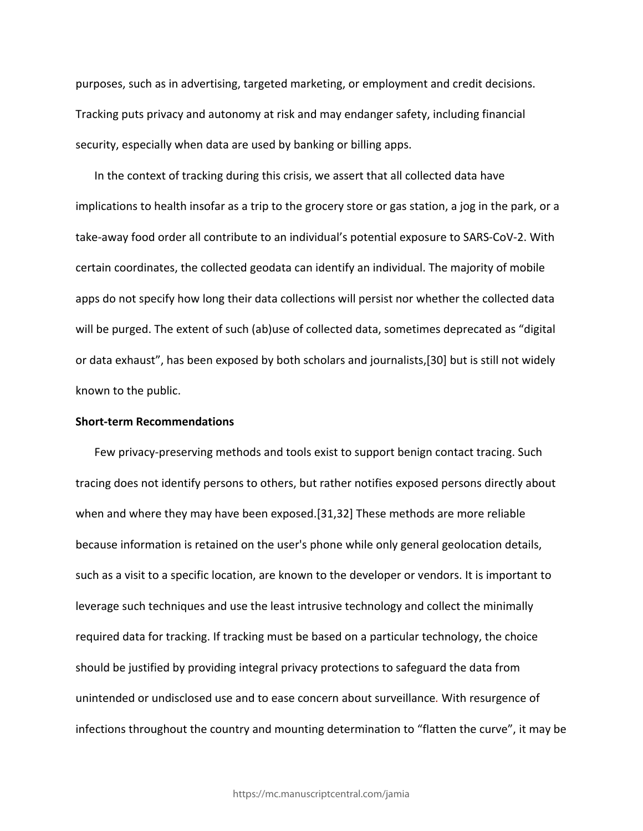purposes, such as in advertising, targeted marketing, or employment and credit decisions. Tracking puts privacy and autonomy at risk and may endanger safety, including financial security, especially when data are used by banking or billing apps.

In the context of tracking during this crisis, we assert that all collected data have implications to health insofar as a trip to the grocery store or gas station, a jog in the park, or a take-away food order all contribute to an individual's potential exposure to SARS-CoV-2. With certain coordinates, the collected geodata can identify an individual. The majority of mobile apps do not specify how long their data collections will persist nor whether the collected data will be purged. The extent of such (ab)use of collected data, sometimes deprecated as "digital or data exhaust", has been exposed by both scholars and journalists,[30] but is still not widely known to the public.

## **Short-term Recommendations**

Few privacy-preserving methods and tools exist to support benign contact tracing. Such tracing does not identify persons to others, but rather notifies exposed persons directly about when and where they may have been exposed.[31,32] These methods are more reliable because information is retained on the user's phone while only general geolocation details, such as a visit to a specific location, are known to the developer or vendors. It is important to leverage such techniques and use the least intrusive technology and collect the minimally required data for tracking. If tracking must be based on a particular technology, the choice should be justified by providing integral privacy protections to safeguard the data from unintended or undisclosed use and to ease concern about surveillance*.* With resurgence of infections throughout the country and mounting determination to "flatten the curve", it may be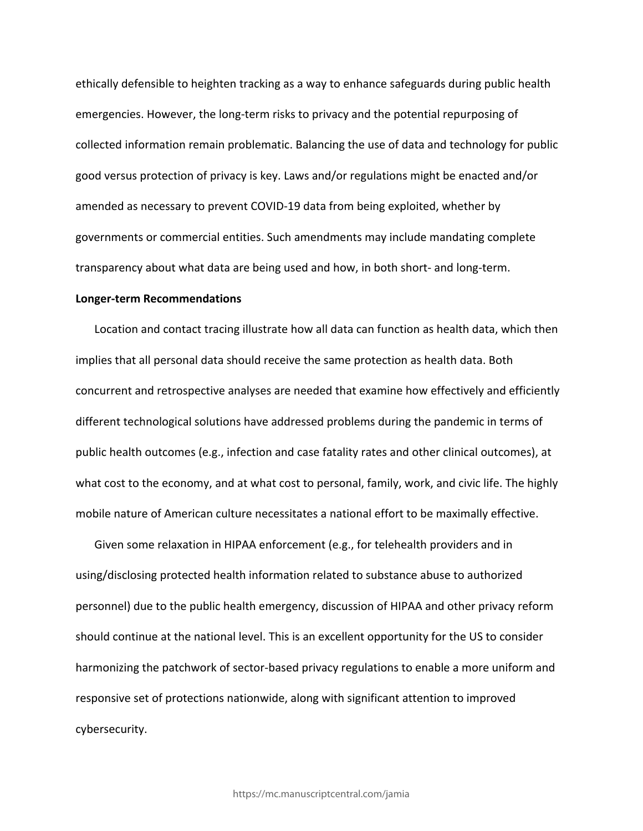ethically defensible to heighten tracking as a way to enhance safeguards during public health emergencies. However, the long-term risks to privacy and the potential repurposing of collected information remain problematic. Balancing the use of data and technology for public good versus protection of privacy is key. Laws and/or regulations might be enacted and/or amended as necessary to prevent COVID-19 data from being exploited, whether by governments or commercial entities. Such amendments may include mandating complete transparency about what data are being used and how, in both short- and long-term.

#### **Longer-term Recommendations**

Location and contact tracing illustrate how all data can function as health data, which then implies that all personal data should receive the same protection as health data. Both concurrent and retrospective analyses are needed that examine how effectively and efficiently different technological solutions have addressed problems during the pandemic in terms of public health outcomes (e.g., infection and case fatality rates and other clinical outcomes), at what cost to the economy, and at what cost to personal, family, work, and civic life. The highly mobile nature of American culture necessitates a national effort to be maximally effective.

Given some relaxation in HIPAA enforcement (e.g., for telehealth providers and in using/disclosing protected health information related to substance abuse to authorized personnel) due to the public health emergency, discussion of HIPAA and other privacy reform should continue at the national level. This is an excellent opportunity for the US to consider harmonizing the patchwork of sector-based privacy regulations to enable a more uniform and responsive set of protections nationwide, along with significant attention to improved cybersecurity.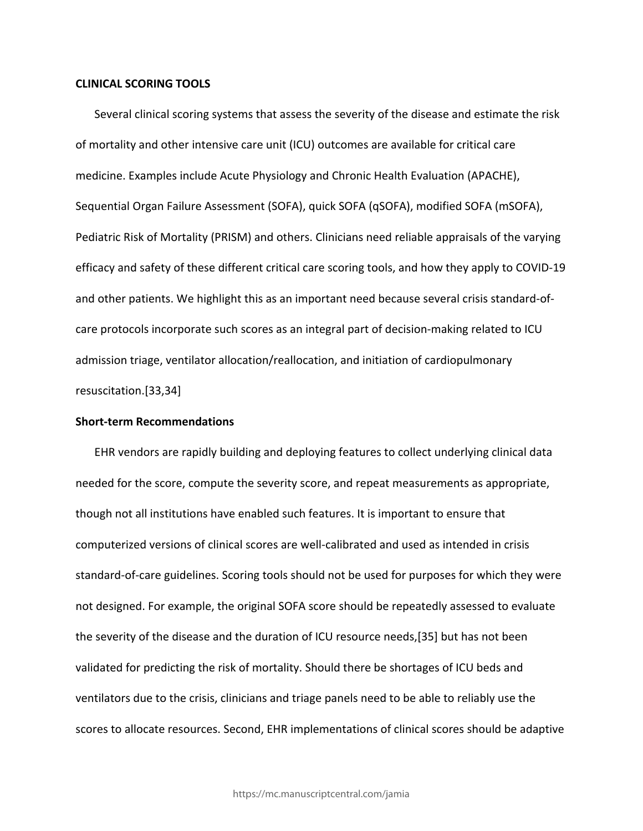### **CLINICAL SCORING TOOLS**

Several clinical scoring systems that assess the severity of the disease and estimate the risk of mortality and other intensive care unit (ICU) outcomes are available for critical care medicine. Examples include Acute Physiology and Chronic Health Evaluation (APACHE), Sequential Organ Failure Assessment (SOFA), quick SOFA (qSOFA), modified SOFA (mSOFA), Pediatric Risk of Mortality (PRISM) and others. Clinicians need reliable appraisals of the varying efficacy and safety of these different critical care scoring tools, and how they apply to COVID-19 and other patients. We highlight this as an important need because several crisis standard-ofcare protocols incorporate such scores as an integral part of decision-making related to ICU admission triage, ventilator allocation/reallocation, and initiation of cardiopulmonary resuscitation.[33,34]

## **Short-term Recommendations**

EHR vendors are rapidly building and deploying features to collect underlying clinical data needed for the score, compute the severity score, and repeat measurements as appropriate, though not all institutions have enabled such features. It is important to ensure that computerized versions of clinical scores are well-calibrated and used as intended in crisis standard-of-care guidelines. Scoring tools should not be used for purposes for which they were not designed. For example, the original SOFA score should be repeatedly assessed to evaluate the severity of the disease and the duration of ICU resource needs,[35] but has not been validated for predicting the risk of mortality. Should there be shortages of ICU beds and ventilators due to the crisis, clinicians and triage panels need to be able to reliably use the scores to allocate resources. Second, EHR implementations of clinical scores should be adaptive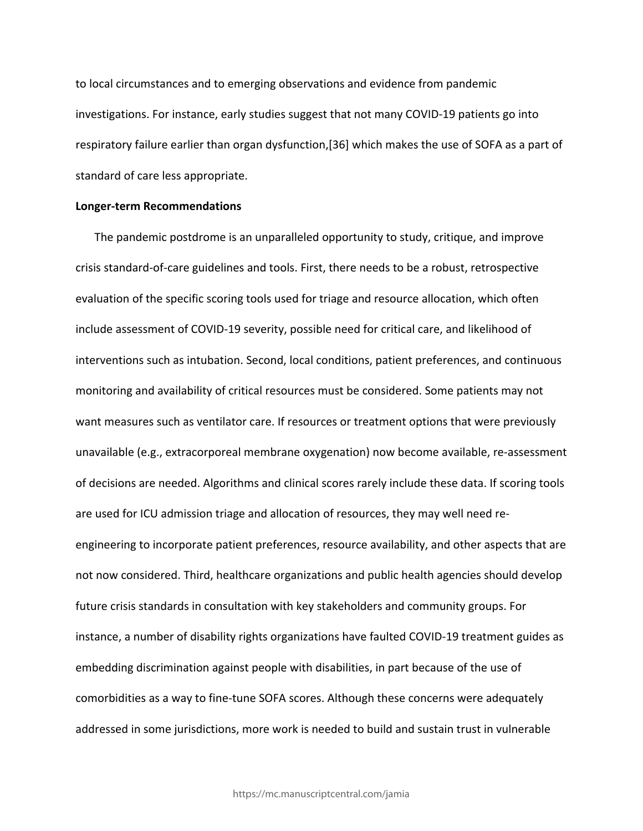to local circumstances and to emerging observations and evidence from pandemic investigations. For instance, early studies suggest that not many COVID-19 patients go into respiratory failure earlier than organ dysfunction,[36] which makes the use of SOFA as a part of standard of care less appropriate.

#### **Longer-term Recommendations**

The pandemic postdrome is an unparalleled opportunity to study, critique, and improve crisis standard-of-care guidelines and tools. First, there needs to be a robust, retrospective evaluation of the specific scoring tools used for triage and resource allocation, which often include assessment of COVID-19 severity, possible need for critical care, and likelihood of interventions such as intubation. Second, local conditions, patient preferences, and continuous monitoring and availability of critical resources must be considered. Some patients may not want measures such as ventilator care. If resources or treatment options that were previously unavailable (e.g., extracorporeal membrane oxygenation) now become available, re-assessment of decisions are needed. Algorithms and clinical scores rarely include these data. If scoring tools are used for ICU admission triage and allocation of resources, they may well need reengineering to incorporate patient preferences, resource availability, and other aspects that are not now considered. Third, healthcare organizations and public health agencies should develop future crisis standards in consultation with key stakeholders and community groups. For instance, a number of disability rights organizations have faulted COVID-19 treatment guides as embedding discrimination against people with disabilities, in part because of the use of comorbidities as a way to fine-tune SOFA scores. Although these concerns were adequately addressed in some jurisdictions, more work is needed to build and sustain trust in vulnerable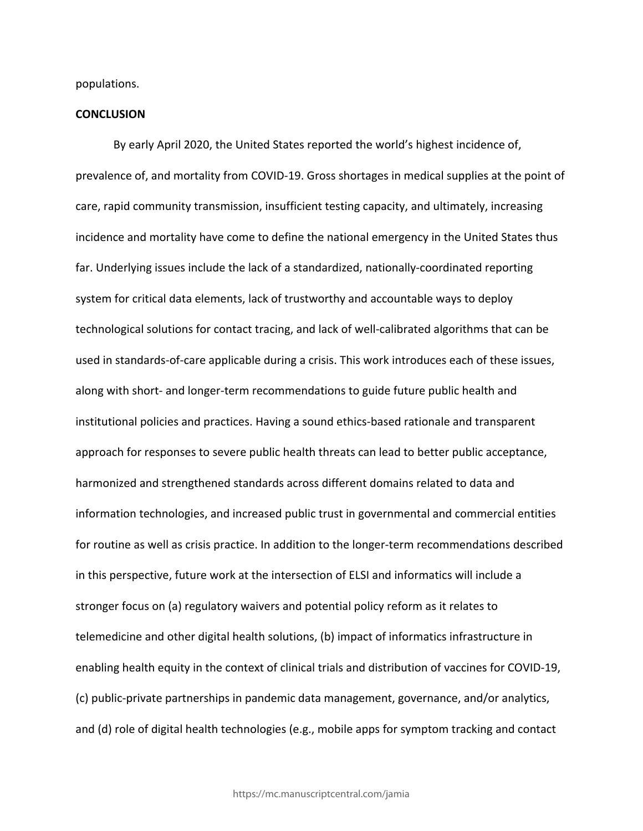populations.

#### **CONCLUSION**

By early April 2020, the United States reported the world's highest incidence of, prevalence of, and mortality from COVID-19. Gross shortages in medical supplies at the point of care, rapid community transmission, insufficient testing capacity, and ultimately, increasing incidence and mortality have come to define the national emergency in the United States thus far. Underlying issues include the lack of a standardized, nationally-coordinated reporting system for critical data elements, lack of trustworthy and accountable ways to deploy technological solutions for contact tracing, and lack of well-calibrated algorithms that can be used in standards-of-care applicable during a crisis. This work introduces each of these issues, along with short- and longer-term recommendations to guide future public health and institutional policies and practices. Having a sound ethics-based rationale and transparent approach for responses to severe public health threats can lead to better public acceptance, harmonized and strengthened standards across different domains related to data and information technologies, and increased public trust in governmental and commercial entities for routine as well as crisis practice. In addition to the longer-term recommendations described in this perspective, future work at the intersection of ELSI and informatics will include a stronger focus on (a) regulatory waivers and potential policy reform as it relates to telemedicine and other digital health solutions, (b) impact of informatics infrastructure in enabling health equity in the context of clinical trials and distribution of vaccines for COVID-19, (c) public-private partnerships in pandemic data management, governance, and/or analytics, and (d) role of digital health technologies (e.g., mobile apps for symptom tracking and contact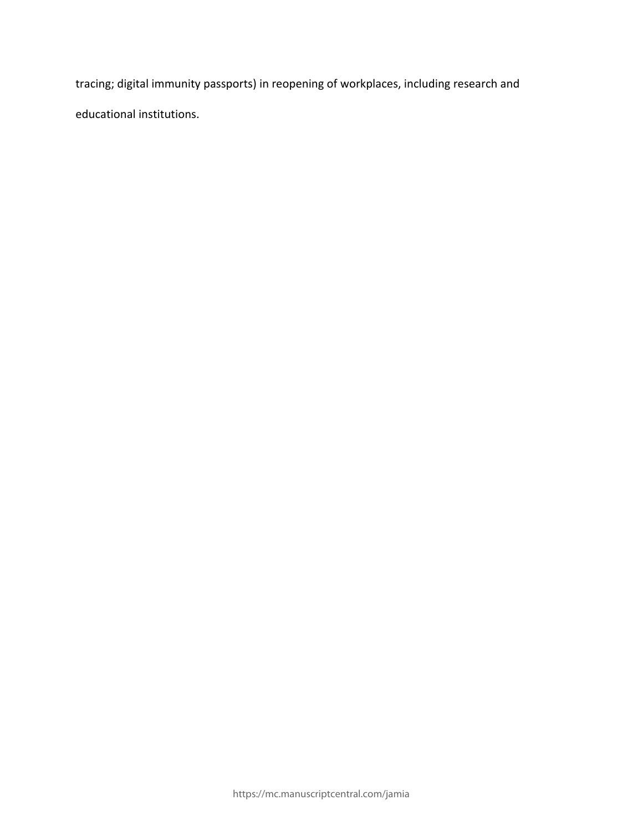tracing; digital immunity passports) in reopening of workplaces, including research and educational institutions.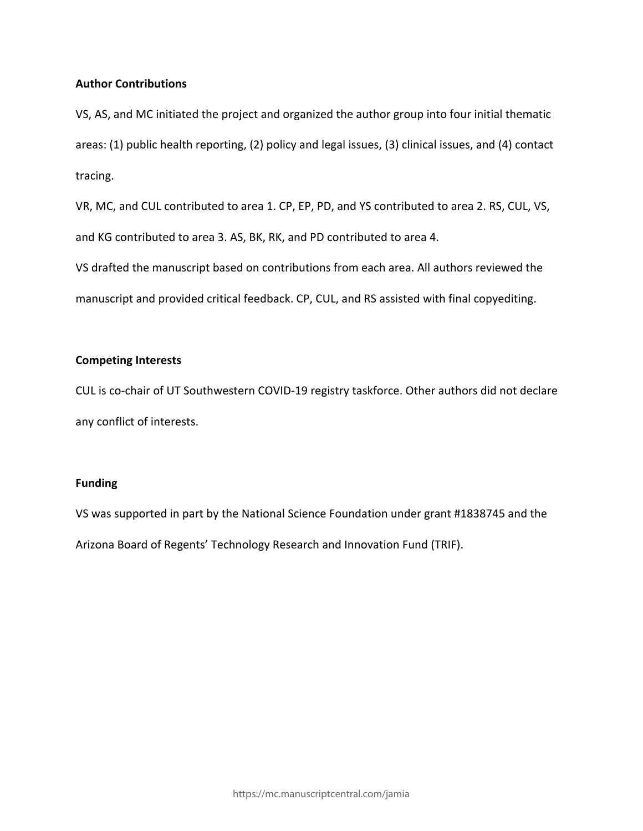## **Author Contributions**

VS, AS, and MC initiated the project and organized the author group into four initial thematic areas: (1) public health reporting, (2) policy and legal issues, (3) clinical issues, and (4) contact tracing.

VR, MC, and CUL contributed to area 1. CP, EP, PD, and YS contributed to area 2. RS, CUL, VS, and KG contributed to area 3. AS, BK, RK, and PD contributed to area 4.

VS drafted the manuscript based on contributions from each area. All authors reviewed the manuscript and provided critical feedback. CP, CUL, and RS assisted with final copyediting.

# **Competing Interests**

CUL is co-chair of UT Southwestern COVID-19 registry taskforce. Other authors did not declare any conflict of interests.

## **Funding**

VS was supported in part by the National Science Foundation under grant #1838745 and the Arizona Board of Regents' Technology Research and Innovation Fund (TRIF).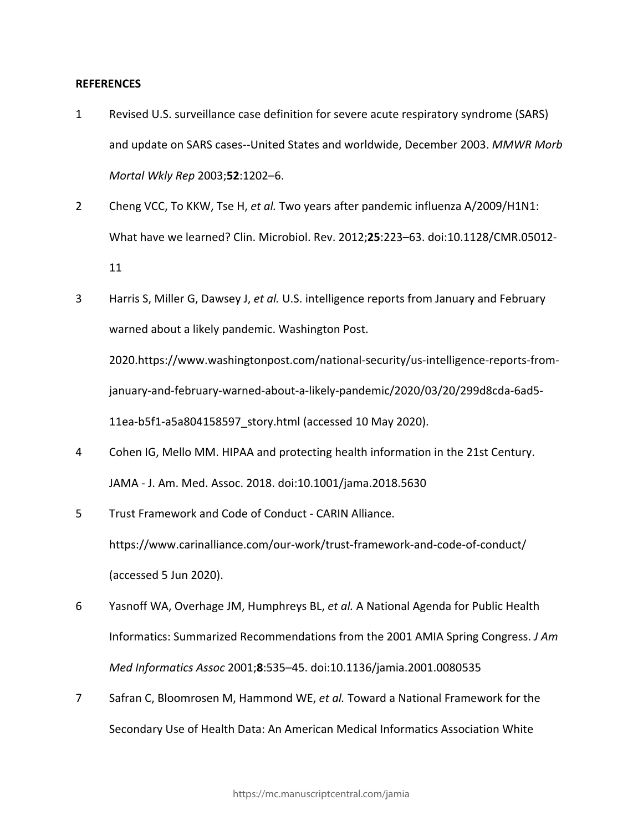### **REFERENCES**

- 1 Revised U.S. surveillance case definition for severe acute respiratory syndrome (SARS) and update on SARS cases--United States and worldwide, December 2003. *MMWR Morb Mortal Wkly Rep* 2003;**52**:1202–6.
- 2 Cheng VCC, To KKW, Tse H, *et al.* Two years after pandemic influenza A/2009/H1N1: What have we learned? Clin. Microbiol. Rev. 2012;**25**:223–63. doi:10.1128/CMR.05012- 11
- 3 Harris S, Miller G, Dawsey J, *et al.* U.S. intelligence reports from January and February warned about a likely pandemic. Washington Post. 2020.https://www.washingtonpost.com/national-security/us-intelligence-reports-fromjanuary-and-february-warned-about-a-likely-pandemic/2020/03/20/299d8cda-6ad5- 11ea-b5f1-a5a804158597\_story.html (accessed 10 May 2020).
- 4 Cohen IG, Mello MM. HIPAA and protecting health information in the 21st Century. JAMA - J. Am. Med. Assoc. 2018. doi:10.1001/jama.2018.5630
- 5 Trust Framework and Code of Conduct CARIN Alliance. https://www.carinalliance.com/our-work/trust-framework-and-code-of-conduct/ (accessed 5 Jun 2020).
- 6 Yasnoff WA, Overhage JM, Humphreys BL, *et al.* A National Agenda for Public Health Informatics: Summarized Recommendations from the 2001 AMIA Spring Congress. *J Am Med Informatics Assoc* 2001;**8**:535–45. doi:10.1136/jamia.2001.0080535
- 7 Safran C, Bloomrosen M, Hammond WE, *et al.* Toward a National Framework for the Secondary Use of Health Data: An American Medical Informatics Association White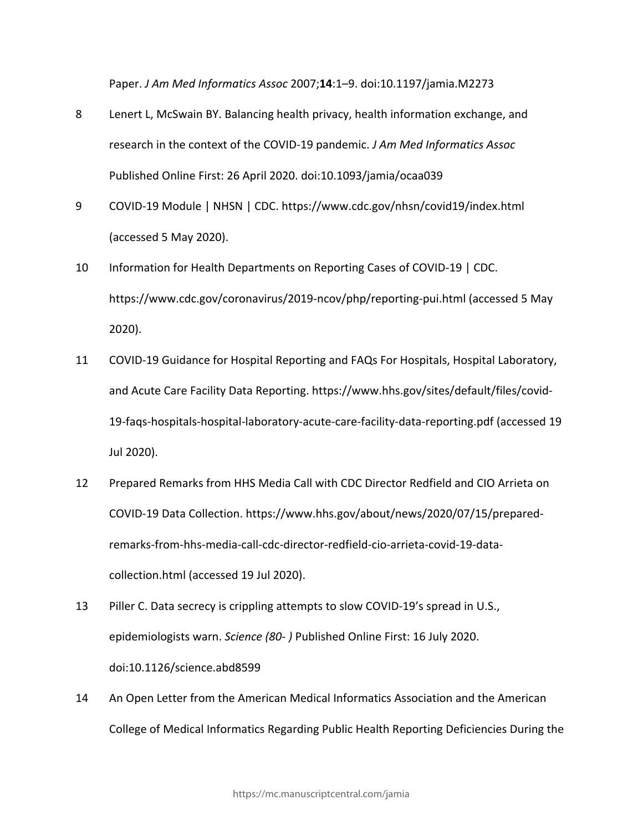Paper. *J Am Med Informatics Assoc* 2007;**14**:1–9. doi:10.1197/jamia.M2273

- 8 Lenert L, McSwain BY. Balancing health privacy, health information exchange, and research in the context of the COVID-19 pandemic. *J Am Med Informatics Assoc* Published Online First: 26 April 2020. doi:10.1093/jamia/ocaa039
- 9 COVID-19 Module | NHSN | CDC. https://www.cdc.gov/nhsn/covid19/index.html (accessed 5 May 2020).
- 10 Information for Health Departments on Reporting Cases of COVID-19 | CDC. https://www.cdc.gov/coronavirus/2019-ncov/php/reporting-pui.html (accessed 5 May 2020).
- 11 COVID-19 Guidance for Hospital Reporting and FAQs For Hospitals, Hospital Laboratory, and Acute Care Facility Data Reporting. https://www.hhs.gov/sites/default/files/covid-19-faqs-hospitals-hospital-laboratory-acute-care-facility-data-reporting.pdf (accessed 19 Jul 2020).
- 12 Prepared Remarks from HHS Media Call with CDC Director Redfield and CIO Arrieta on COVID-19 Data Collection. https://www.hhs.gov/about/news/2020/07/15/preparedremarks-from-hhs-media-call-cdc-director-redfield-cio-arrieta-covid-19-datacollection.html (accessed 19 Jul 2020).
- 13 Piller C. Data secrecy is crippling attempts to slow COVID-19's spread in U.S., epidemiologists warn. *Science (80- )* Published Online First: 16 July 2020. doi:10.1126/science.abd8599
- 14 An Open Letter from the American Medical Informatics Association and the American College of Medical Informatics Regarding Public Health Reporting Deficiencies During the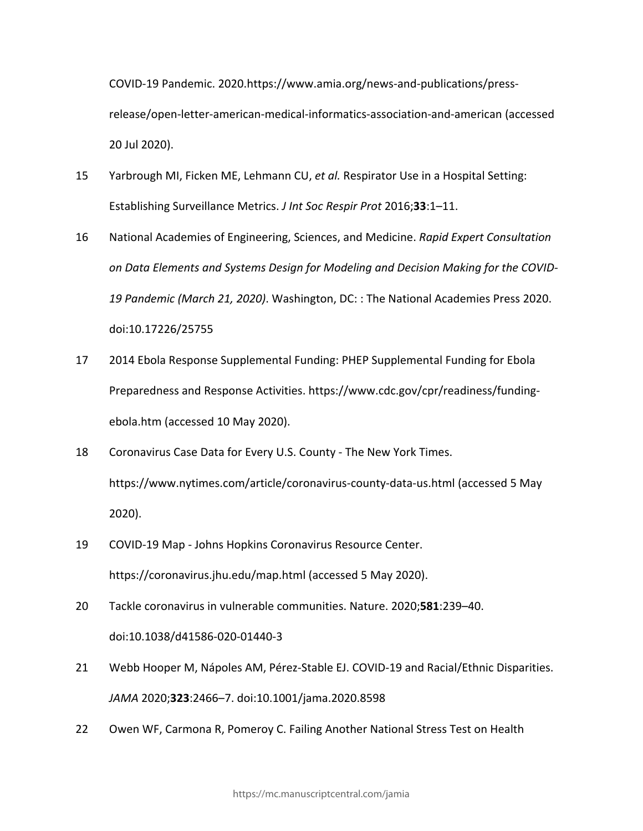COVID-19 Pandemic. 2020.https://www.amia.org/news-and-publications/pressrelease/open-letter-american-medical-informatics-association-and-american (accessed 20 Jul 2020).

- 15 Yarbrough MI, Ficken ME, Lehmann CU, *et al.* Respirator Use in a Hospital Setting: Establishing Surveillance Metrics. *J Int Soc Respir Prot* 2016;**33**:1–11.
- 16 National Academies of Engineering, Sciences, and Medicine. *Rapid Expert Consultation on Data Elements and Systems Design for Modeling and Decision Making for the COVID-19 Pandemic (March 21, 2020)*. Washington, DC: : The National Academies Press 2020. doi:10.17226/25755
- 17 2014 Ebola Response Supplemental Funding: PHEP Supplemental Funding for Ebola Preparedness and Response Activities. https://www.cdc.gov/cpr/readiness/fundingebola.htm (accessed 10 May 2020).
- 18 Coronavirus Case Data for Every U.S. County The New York Times. https://www.nytimes.com/article/coronavirus-county-data-us.html (accessed 5 May 2020).
- 19 COVID-19 Map Johns Hopkins Coronavirus Resource Center. https://coronavirus.jhu.edu/map.html (accessed 5 May 2020).
- 20 Tackle coronavirus in vulnerable communities. Nature. 2020;**581**:239–40. doi:10.1038/d41586-020-01440-3
- 21 Webb Hooper M, Nápoles AM, Pérez-Stable EJ. COVID-19 and Racial/Ethnic Disparities. *JAMA* 2020;**323**:2466–7. doi:10.1001/jama.2020.8598
- 22 Owen WF, Carmona R, Pomeroy C. Failing Another National Stress Test on Health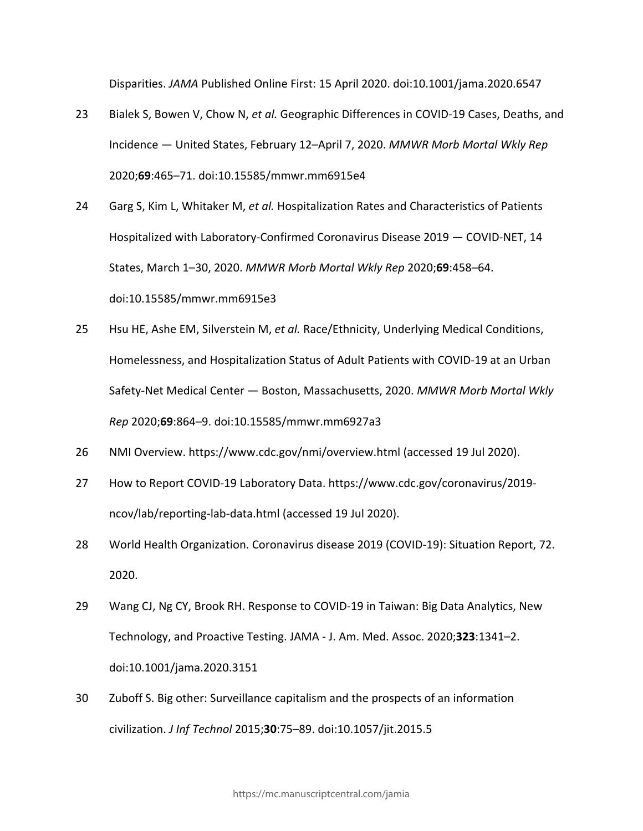Disparities. *JAMA* Published Online First: 15 April 2020. doi:10.1001/jama.2020.6547

- 23 Bialek S, Bowen V, Chow N, *et al.* Geographic Differences in COVID-19 Cases, Deaths, and Incidence — United States, February 12–April 7, 2020. *MMWR Morb Mortal Wkly Rep* 2020;**69**:465–71. doi:10.15585/mmwr.mm6915e4
- 24 Garg S, Kim L, Whitaker M, *et al.* Hospitalization Rates and Characteristics of Patients Hospitalized with Laboratory-Confirmed Coronavirus Disease 2019 — COVID-NET, 14 States, March 1–30, 2020. *MMWR Morb Mortal Wkly Rep* 2020;**69**:458–64. doi:10.15585/mmwr.mm6915e3
- 25 Hsu HE, Ashe EM, Silverstein M, *et al.* Race/Ethnicity, Underlying Medical Conditions, Homelessness, and Hospitalization Status of Adult Patients with COVID-19 at an Urban Safety-Net Medical Center — Boston, Massachusetts, 2020. *MMWR Morb Mortal Wkly Rep* 2020;**69**:864–9. doi:10.15585/mmwr.mm6927a3
- 26 NMI Overview. https://www.cdc.gov/nmi/overview.html (accessed 19 Jul 2020).
- 27 How to Report COVID-19 Laboratory Data. https://www.cdc.gov/coronavirus/2019 ncov/lab/reporting-lab-data.html (accessed 19 Jul 2020).
- 28 World Health Organization. Coronavirus disease 2019 (COVID-19): Situation Report, 72. 2020.
- 29 Wang CJ, Ng CY, Brook RH. Response to COVID-19 in Taiwan: Big Data Analytics, New Technology, and Proactive Testing. JAMA - J. Am. Med. Assoc. 2020;**323**:1341–2. doi:10.1001/jama.2020.3151
- 30 Zuboff S. Big other: Surveillance capitalism and the prospects of an information civilization. *J Inf Technol* 2015;**30**:75–89. doi:10.1057/jit.2015.5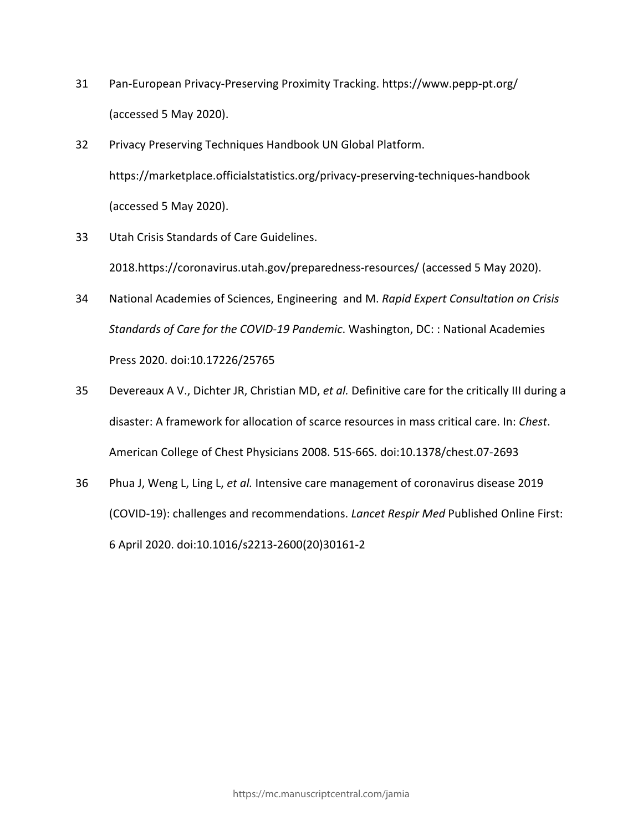- 31 Pan-European Privacy-Preserving Proximity Tracking. https://www.pepp-pt.org/ (accessed 5 May 2020).
- 32 Privacy Preserving Techniques Handbook UN Global Platform. https://marketplace.officialstatistics.org/privacy-preserving-techniques-handbook (accessed 5 May 2020).
- 33 Utah Crisis Standards of Care Guidelines. 2018.https://coronavirus.utah.gov/preparedness-resources/ (accessed 5 May 2020).
- 34 National Academies of Sciences, Engineering and M. *Rapid Expert Consultation on Crisis Standards of Care for the COVID-19 Pandemic*. Washington, DC: : National Academies Press 2020. doi:10.17226/25765
- 35 Devereaux A V., Dichter JR, Christian MD, *et al.* Definitive care for the critically III during a disaster: A framework for allocation of scarce resources in mass critical care. In: *Chest*. American College of Chest Physicians 2008. 51S-66S. doi:10.1378/chest.07-2693
- 36 Phua J, Weng L, Ling L, *et al.* Intensive care management of coronavirus disease 2019 (COVID-19): challenges and recommendations. *Lancet Respir Med* Published Online First: 6 April 2020. doi:10.1016/s2213-2600(20)30161-2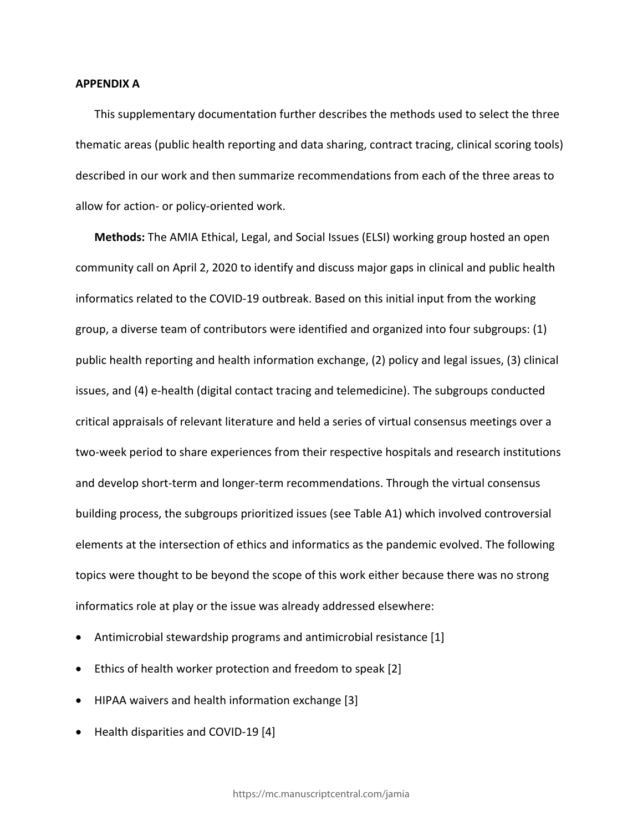### **APPENDIX A**

This supplementary documentation further describes the methods used to select the three thematic areas (public health reporting and data sharing, contract tracing, clinical scoring tools) described in our work and then summarize recommendations from each of the three areas to allow for action- or policy-oriented work.

**Methods:** The AMIA Ethical, Legal, and Social Issues (ELSI) working group hosted an open community call on April 2, 2020 to identify and discuss major gaps in clinical and public health informatics related to the COVID-19 outbreak. Based on this initial input from the working group, a diverse team of contributors were identified and organized into four subgroups: (1) public health reporting and health information exchange, (2) policy and legal issues, (3) clinical issues, and (4) e-health (digital contact tracing and telemedicine). The subgroups conducted critical appraisals of relevant literature and held a series of virtual consensus meetings over a two-week period to share experiences from their respective hospitals and research institutions and develop short-term and longer-term recommendations. Through the virtual consensus building process, the subgroups prioritized issues (see Table A1) which involved controversial elements at the intersection of ethics and informatics as the pandemic evolved. The following topics were thought to be beyond the scope of this work either because there was no strong informatics role at play or the issue was already addressed elsewhere:

- Antimicrobial stewardship programs and antimicrobial resistance [1]
- Ethics of health worker protection and freedom to speak [2]
- HIPAA waivers and health information exchange [3]
- Health disparities and COVID-19 [4]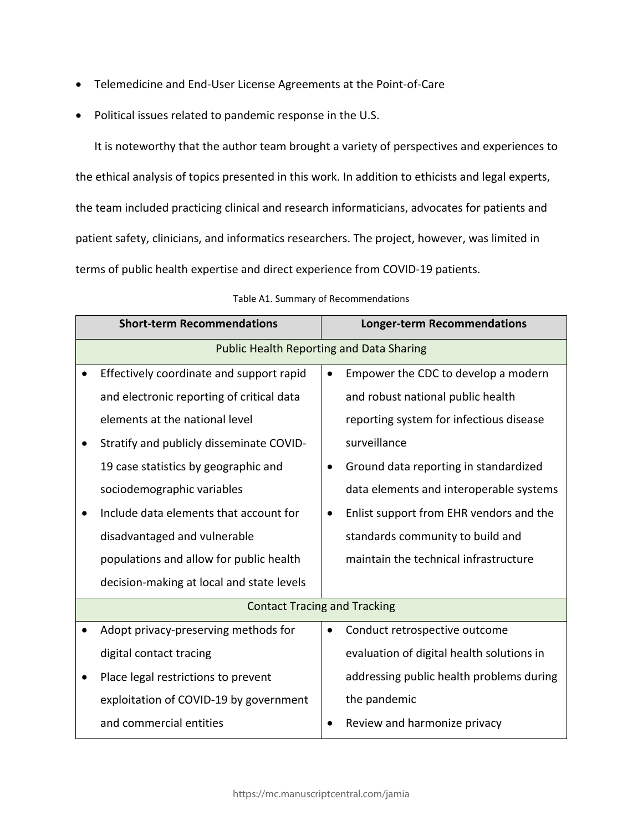- Telemedicine and End-User License Agreements at the Point-of-Care
- Political issues related to pandemic response in the U.S.

It is noteworthy that the author team brought a variety of perspectives and experiences to the ethical analysis of topics presented in this work. In addition to ethicists and legal experts, the team included practicing clinical and research informaticians, advocates for patients and patient safety, clinicians, and informatics researchers. The project, however, was limited in terms of public health expertise and direct experience from COVID-19 patients.

| <b>Short-term Recommendations</b> |                                                 |           | <b>Longer-term Recommendations</b>        |  |  |
|-----------------------------------|-------------------------------------------------|-----------|-------------------------------------------|--|--|
|                                   | <b>Public Health Reporting and Data Sharing</b> |           |                                           |  |  |
| $\bullet$                         | Effectively coordinate and support rapid        | ٠         | Empower the CDC to develop a modern       |  |  |
|                                   | and electronic reporting of critical data       |           | and robust national public health         |  |  |
|                                   | elements at the national level                  |           | reporting system for infectious disease   |  |  |
|                                   | Stratify and publicly disseminate COVID-        |           | surveillance                              |  |  |
|                                   | 19 case statistics by geographic and            | $\bullet$ | Ground data reporting in standardized     |  |  |
|                                   | sociodemographic variables                      |           | data elements and interoperable systems   |  |  |
|                                   | Include data elements that account for          | $\bullet$ | Enlist support from EHR vendors and the   |  |  |
|                                   | disadvantaged and vulnerable                    |           | standards community to build and          |  |  |
|                                   | populations and allow for public health         |           | maintain the technical infrastructure     |  |  |
|                                   | decision-making at local and state levels       |           |                                           |  |  |
|                                   | <b>Contact Tracing and Tracking</b>             |           |                                           |  |  |
|                                   | Adopt privacy-preserving methods for            | $\bullet$ | Conduct retrospective outcome             |  |  |
|                                   | digital contact tracing                         |           | evaluation of digital health solutions in |  |  |
|                                   | Place legal restrictions to prevent             |           | addressing public health problems during  |  |  |
|                                   | exploitation of COVID-19 by government          |           | the pandemic                              |  |  |
|                                   | and commercial entities                         | $\bullet$ | Review and harmonize privacy              |  |  |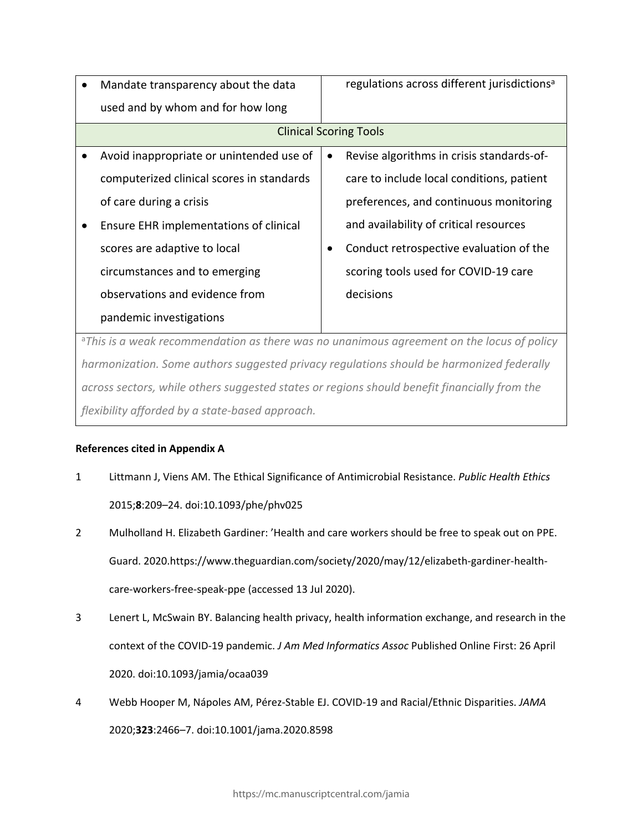| Mandate transparency about the data       |           | regulations across different jurisdictions <sup>a</sup> |  |  |
|-------------------------------------------|-----------|---------------------------------------------------------|--|--|
| used and by whom and for how long         |           |                                                         |  |  |
| <b>Clinical Scoring Tools</b>             |           |                                                         |  |  |
| Avoid inappropriate or unintended use of  | $\bullet$ | Revise algorithms in crisis standards-of-               |  |  |
| computerized clinical scores in standards |           | care to include local conditions, patient               |  |  |
| of care during a crisis                   |           | preferences, and continuous monitoring                  |  |  |
| Ensure EHR implementations of clinical    |           | and availability of critical resources                  |  |  |
| scores are adaptive to local              |           | Conduct retrospective evaluation of the                 |  |  |
| circumstances and to emerging             |           | scoring tools used for COVID-19 care                    |  |  |
| observations and evidence from            |           | decisions                                               |  |  |
| pandemic investigations                   |           |                                                         |  |  |
|                                           |           |                                                         |  |  |

<sup>a</sup>*This is a weak recommendation as there was no unanimous agreement on the locus of policy harmonization. Some authors suggested privacy regulations should be harmonized federally across sectors, while others suggested states or regions should benefit financially from the flexibility afforded by a state-based approach.*

# **References cited in Appendix A**

- 1 Littmann J, Viens AM. The Ethical Significance of Antimicrobial Resistance. *Public Health Ethics* 2015;**8**:209–24. doi:10.1093/phe/phv025
- 2 Mulholland H. Elizabeth Gardiner: 'Health and care workers should be free to speak out on PPE. Guard. 2020.https://www.theguardian.com/society/2020/may/12/elizabeth-gardiner-healthcare-workers-free-speak-ppe (accessed 13 Jul 2020).
- 3 Lenert L, McSwain BY. Balancing health privacy, health information exchange, and research in the context of the COVID-19 pandemic. *J Am Med Informatics Assoc* Published Online First: 26 April 2020. doi:10.1093/jamia/ocaa039
- 4 Webb Hooper M, Nápoles AM, Pérez-Stable EJ. COVID-19 and Racial/Ethnic Disparities. *JAMA* 2020;**323**:2466–7. doi:10.1001/jama.2020.8598